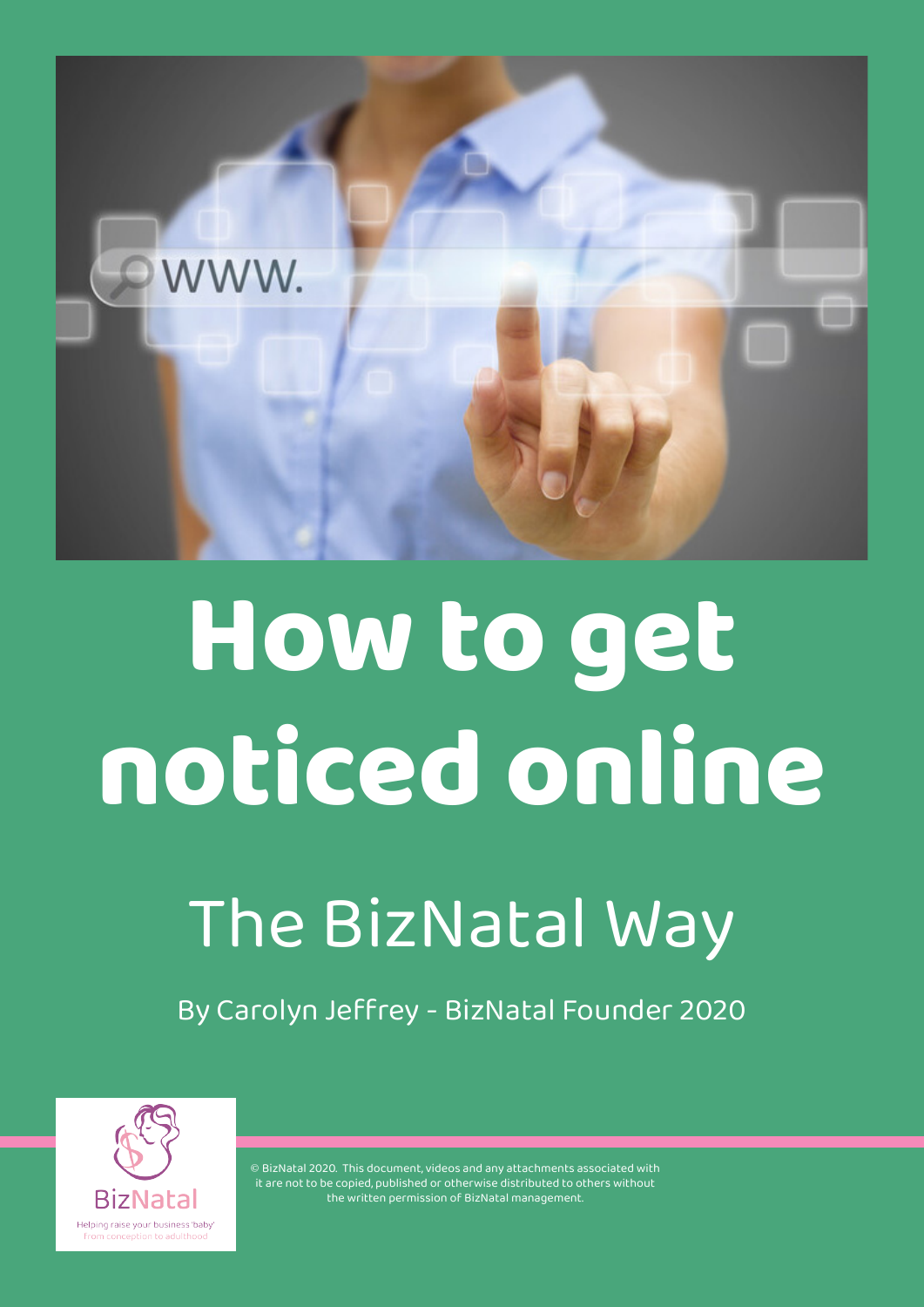

# **How to get noticed online**

## The BizNatal Way

By Carolyn Jeffrey - BizNatal Founder 2020

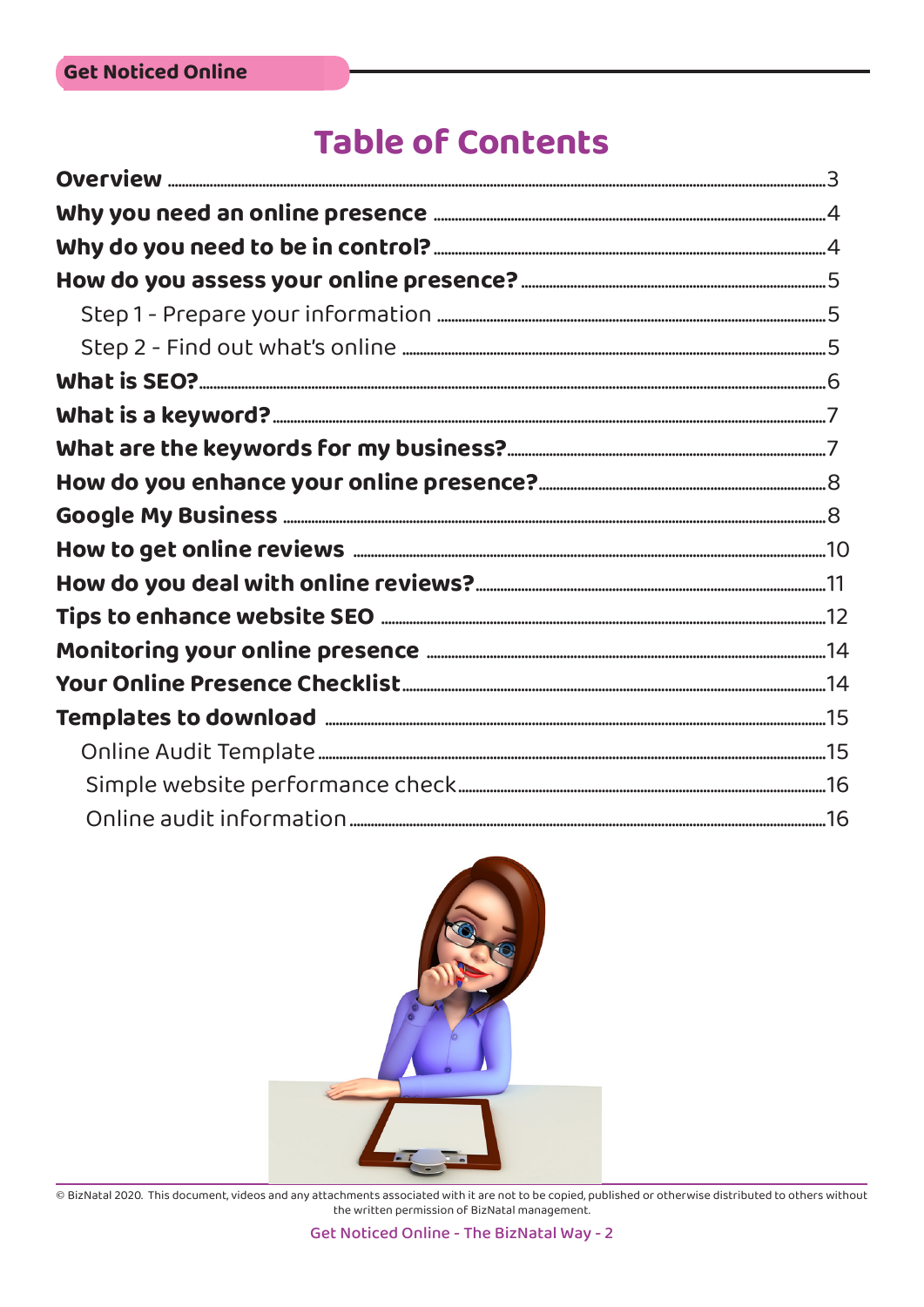### **Table of Contents**

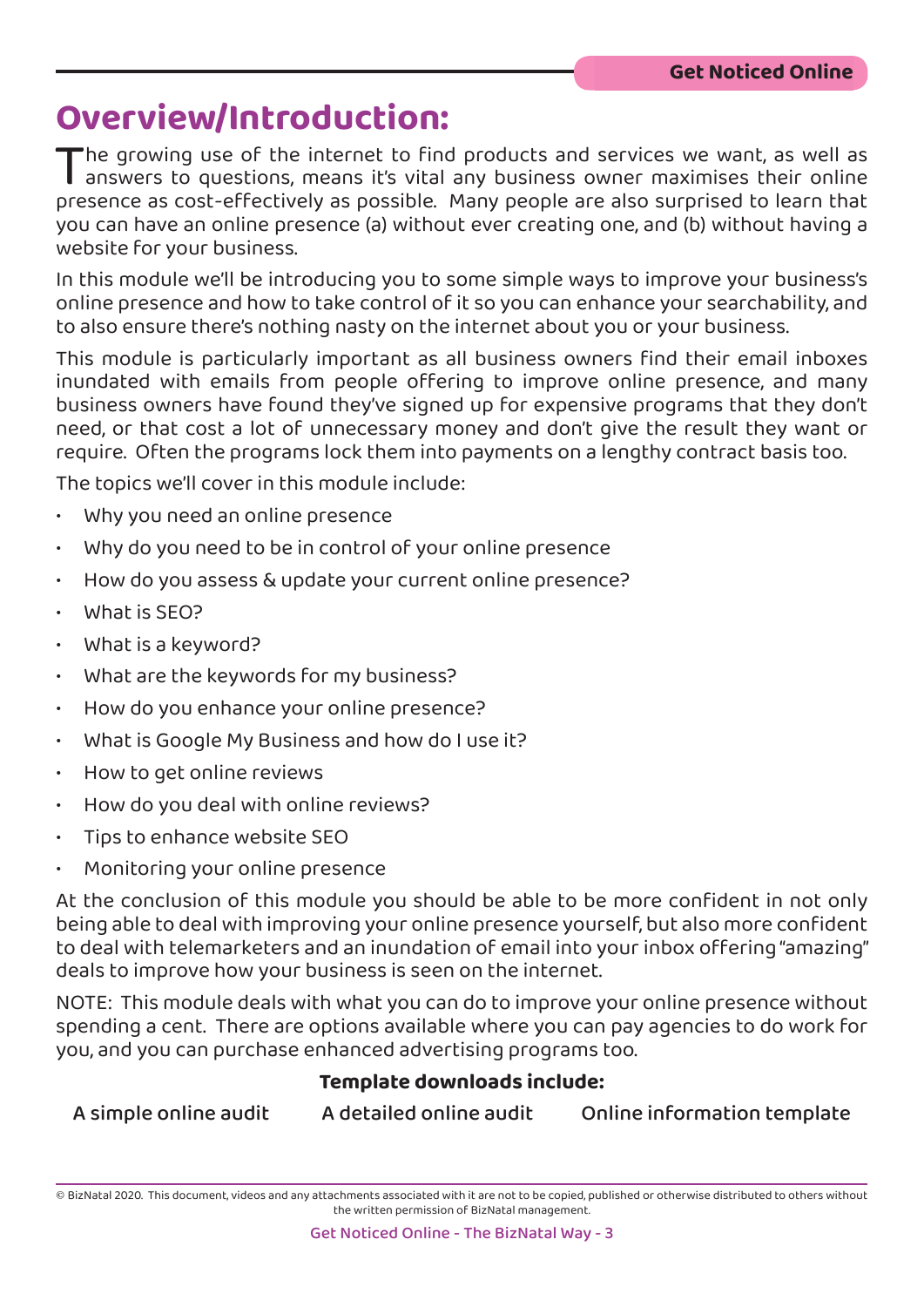### **Overview/Introduction:**

The growing use of the internet to find products and services we want, as well as<br>answers to questions, means it's vital any business owner maximises their online<br>presence as cost-effectively as possible. Many people are a answers to questions, means it's vital any business owner maximises their online presence as cost-effectively as possible. Many people are also surprised to learn that you can have an online presence (a) without ever creating one, and (b) without having a website for your business.

In this module we'll be introducing you to some simple ways to improve your business's online presence and how to take control of it so you can enhance your searchability, and to also ensure there's nothing nasty on the internet about you or your business.

This module is particularly important as all business owners find their email inboxes inundated with emails from people offering to improve online presence, and many business owners have found they've signed up for expensive programs that they don't need, or that cost a lot of unnecessary money and don't give the result they want or require. Often the programs lock them into payments on a lengthy contract basis too.

The topics we'll cover in this module include:

- Why you need an online presence
- Why do you need to be in control of your online presence
- How do you assess & update your current online presence?
- What is SEO?
- What is a keyword?
- What are the keywords for my business?
- How do you enhance your online presence?
- What is Google My Business and how do I use it?
- How to get online reviews
- How do you deal with online reviews?
- Tips to enhance website SEO
- Monitoring your online presence

At the conclusion of this module you should be able to be more confident in not only being able to deal with improving your online presence yourself, but also more confident to deal with telemarketers and an inundation of email into your inbox offering "amazing" deals to improve how your business is seen on the internet.

NOTE: This module deals with what you can do to improve your online presence without spending a cent. There are options available where you can pay agencies to do work for you, and you can purchase enhanced advertising programs too.

#### **Template downloads include:**

A simple online audit A detailed online audit Online information template

<sup>©</sup> BizNatal 2020. This document, videos and any attachments associated with it are not to be copied, published or otherwise distributed to others without the written permission of BizNatal management.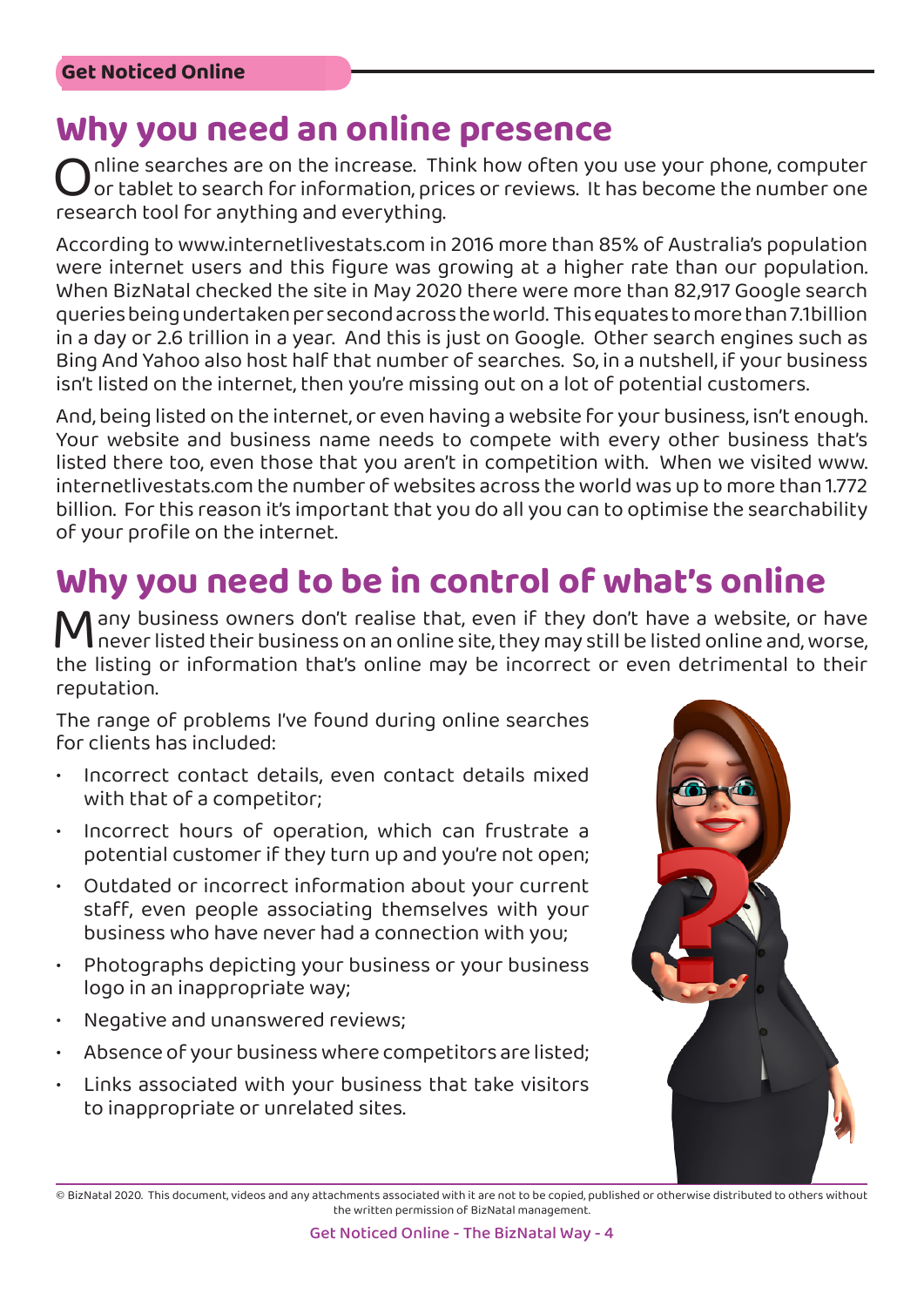Why you need an online presence<br>
nine searches are on the increase. Think how often you use your phone, computer Online searches are on the increase. Think how often you use your phone, computer<br>of tablet to search for information, prices or reviews. It has become the number one<br>research tool for anything and everything. or tablet to search for information, prices or reviews. It has become the number one research tool for anything and everything.

According to [www.internetlivestats.com](http://www.internetlivestats.com/) in 2016 more than 85% of Australia's population were internet users and this figure was growing at a higher rate than our population. When BizNatal checked the site in May 2020 there were more than 82,917 Google search queries being undertaken per second across the world. This equates to more than 7.1billion in a day or 2.6 trillion in a year. And this is just on Google. Other search engines such as Bing And Yahoo also host half that number of searches. So, in a nutshell, if your business isn't listed on the internet, then you're missing out on a lot of potential customers.

And, being listed on the internet, or even having a website for your business, isn't enough. Your website and business name needs to compete with every other business that's listed there too, even those that you aren't in competition with. When we visited [www.](http://www.internetlivestats.com/) [internetlivestats.com t](http://www.internetlivestats.com/)he number of websites across the world was up to more than 1.772 billion. For this reason it's important that you do all you can to optimise the searchability of your profile on the internet.

### **Why you need to be in control of what's online**

Many business owners don't realise that, even if they don't have a website, or have never listed their business on an online site, they may still be listed online and, worse, the listing or information that's online may be incorrect or even detrimental to their reputation.

The range of problems I've found during online searches for clients has included:

- Incorrect contact details, even contact details mixed with that of a competitor;
- Incorrect hours of operation, which can frustrate a potential customer if they turn up and you're not open;
- Outdated or incorrect information about your current staff, even people associating themselves with your business who have never had a connection with you;
- Photographs depicting your business or your business logo in an inappropriate way;
- Negative and unanswered reviews;
- Absence of your business where competitors are listed;
- Links associated with your business that take visitors to inappropriate or unrelated sites.



<sup>©</sup> BizNatal 2020. This document, videos and any attachments associated with it are not to be copied, published or otherwise distributed to others without the written permission of BizNatal management.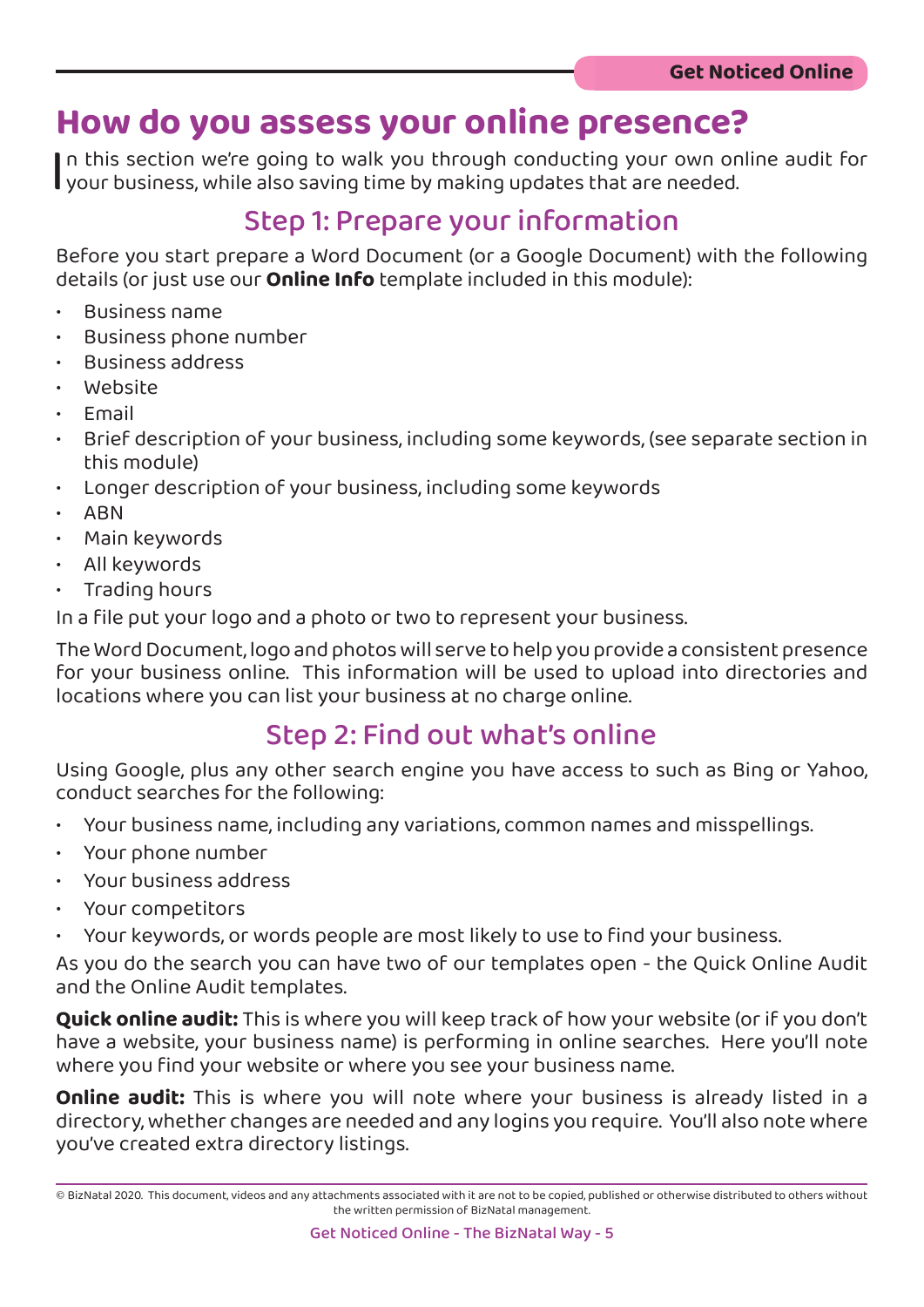### **How do you assess your online presence?**

I n this section we're going to walk you through conducting your own online audit for your business, while also saving time by making updates that are needed.

### Step 1: Prepare your information

Before you start prepare a Word Document (or a Google Document) with the following details (or just use our **Online Info** template included in this module):

- Business name
- Business phone number
- Business address
- Website
- Email
- Brief description of your business, including some keywords, (see separate section in this module)
- Longer description of your business, including some keywords
- ABN
- Main keywords
- All keywords
- Trading hours

In a file put your logo and a photo or two to represent your business.

The Word Document, logo and photos will serve to help you provide a consistent presence for your business online. This information will be used to upload into directories and locations where you can list your business at no charge online.

### Step 2: Find out what's online

Using Google, plus any other search engine you have access to such as Bing or Yahoo, conduct searches for the following:

- Your business name, including any variations, common names and misspellings.
- Your phone number
- Your business address
- Your competitors
- Your keywords, or words people are most likely to use to find your business.

As you do the search you can have two of our templates open - the Quick Online Audit and the Online Audit templates.

**Quick online audit:** This is where you will keep track of how your website (or if you don't have a website, your business name) is performing in online searches. Here you'll note where you find your website or where you see your business name.

**Online audit:** This is where you will note where your business is already listed in a directory, whether changes are needed and any logins you require. You'll also note where you've created extra directory listings.

<sup>©</sup> BizNatal 2020. This document, videos and any attachments associated with it are not to be copied, published or otherwise distributed to others without the written permission of BizNatal management.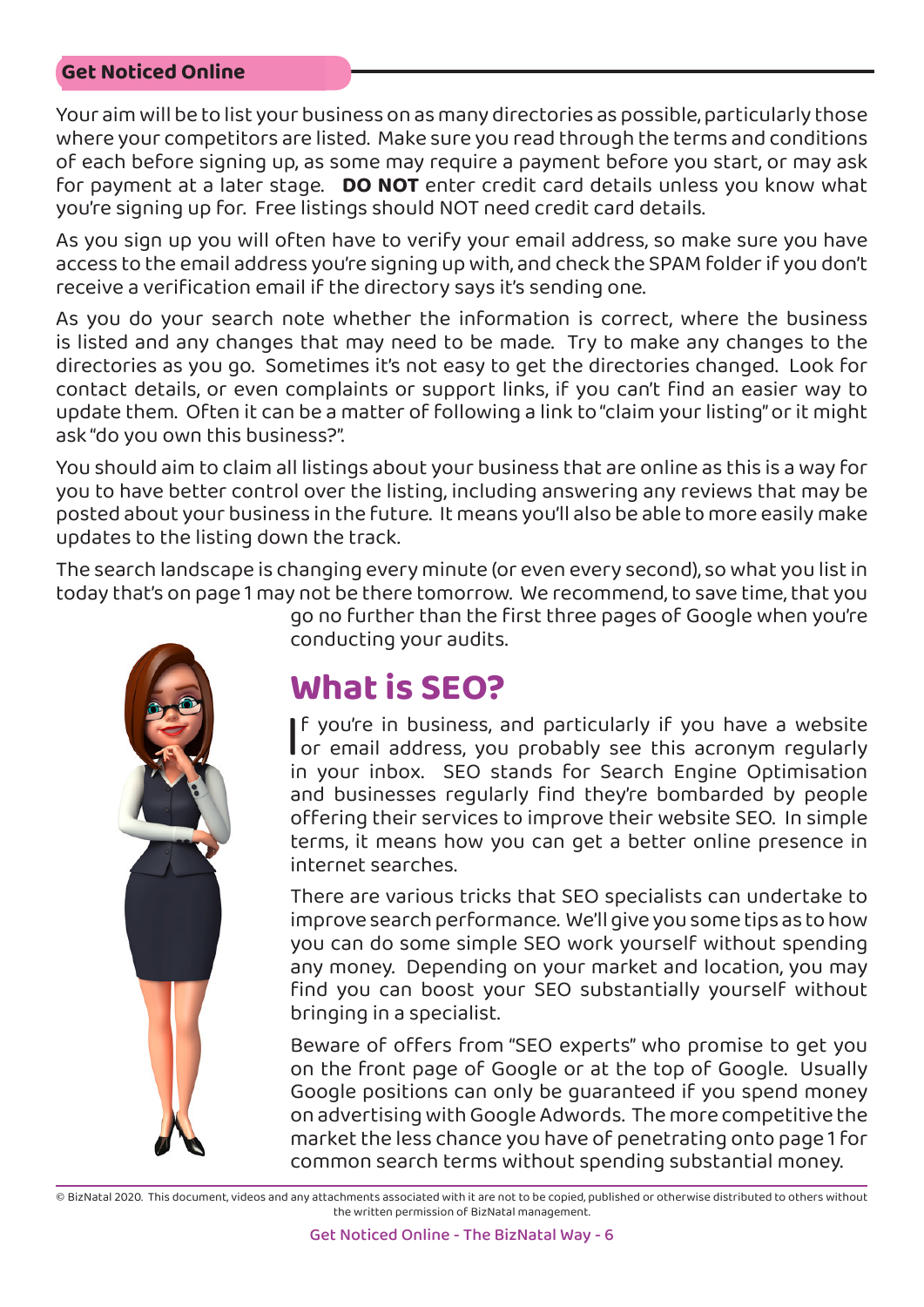Your aim will be to list your business on as many directories as possible, particularly those where your competitors are listed. Make sure you read through the terms and conditions of each before signing up, as some may require a payment before you start, or may ask for payment at a later stage. **DO NOT** enter credit card details unless you know what you're signing up for. Free listings should NOT need credit card details.

As you sign up you will often have to verify your email address, so make sure you have access to the email address you're signing up with, and check the SPAM folder if you don't receive a verification email if the directory says it's sending one.

As you do your search note whether the information is correct, where the business is listed and any changes that may need to be made. Try to make any changes to the directories as you go. Sometimes it's not easy to get the directories changed. Look for contact details, or even complaints or support links, if you can't find an easier way to update them. Often it can be a matter of following a link to "claim your listing" or it might ask "do you own this business?".

You should aim to claim all listings about your business that are online as this is a way for you to have better control over the listing, including answering any reviews that may be posted about your business in the future. It means you'll also be able to more easily make updates to the listing down the track.

The search landscape is changing every minute (or even every second), so what you list in today that's on page 1 may not be there tomorrow. We recommend, to save time, that you



go no further than the first three pages of Google when you're conducting your audits.

### **What is SEO?**

|<br>ir If you're in business, and particularly if you have a website or email address, you probably see this acronym regularly in your inbox. SEO stands for Search Engine Optimisation and businesses regularly find they're bombarded by people offering their services to improve their website SEO. In simple terms, it means how you can get a better online presence in internet searches.

There are various tricks that SEO specialists can undertake to improve search performance. We'll give you some tips as to how you can do some simple SEO work yourself without spending any money. Depending on your market and location, you may find you can boost your SEO substantially yourself without bringing in a specialist.

Beware of offers from "SEO experts" who promise to get you on the front page of Google or at the top of Google. Usually Google positions can only be guaranteed if you spend money on advertising with Google Adwords. The more competitive the market the less chance you have of penetrating onto page 1 for common search terms without spending substantial money.

<sup>©</sup> BizNatal 2020. This document, videos and any attachments associated with it are not to be copied, published or otherwise distributed to others without the written permission of BizNatal management.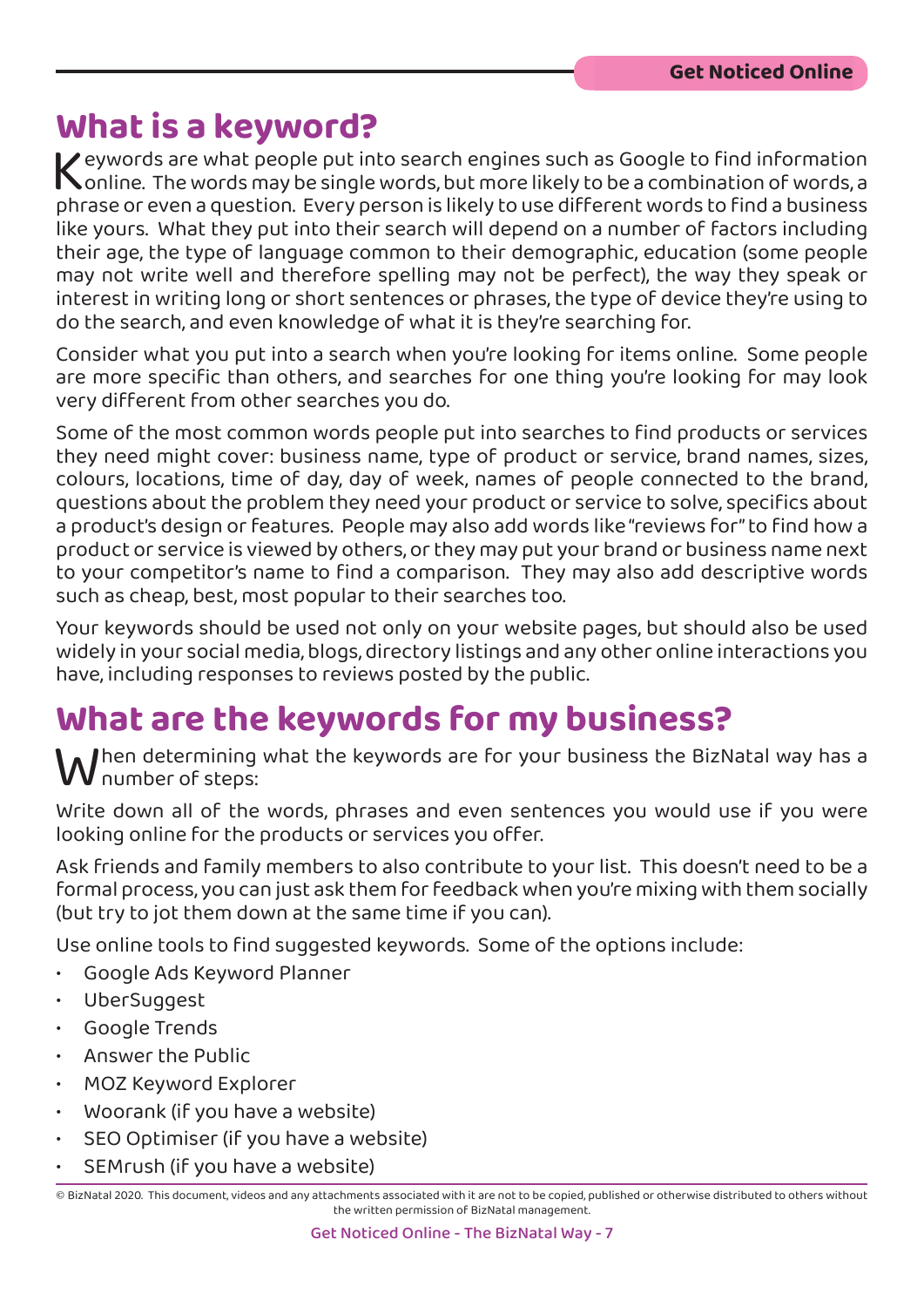### **What is a keyword?**

Keywords are what people put into search engines such as Google to find information<br>Conline. The words may be single words, but more likely to be a combination of words, a<br>phrase or even a question. Every person is likely online. The words may be single words, but more likely to be a combination of words, a phrase or even a question. Every person is likely to use different words to find a business like yours. What they put into their search will depend on a number of factors including their age, the type of language common to their demographic, education (some people may not write well and therefore spelling may not be perfect), the way they speak or interest in writing long or short sentences or phrases, the type of device they're using to do the search, and even knowledge of what it is they're searching for.

Consider what you put into a search when you're looking for items online. Some people are more specific than others, and searches for one thing you're looking for may look very different from other searches you do.

Some of the most common words people put into searches to find products or services they need might cover: business name, type of product or service, brand names, sizes, colours, locations, time of day, day of week, names of people connected to the brand, questions about the problem they need your product or service to solve, specifics about a product's design or features. People may also add words like "reviews for" to find how a product or service is viewed by others, or they may put your brand or business name next to your competitor's name to find a comparison. They may also add descriptive words such as cheap, best, most popular to their searches too.

Your keywords should be used not only on your website pages, but should also be used widely in your social media, blogs, directory listings and any other online interactions you have, including responses to reviews posted by the public.

### **What are the keywords for my business?**

 $\mathcal M$ hen determining what the keywords are for your business the BizNatal way has a number of steps:

Write down all of the words, phrases and even sentences you would use if you were looking online for the products or services you offer.

Ask friends and family members to also contribute to your list. This doesn't need to be a formal process, you can just ask them for feedback when you're mixing with them socially (but try to jot them down at the same time if you can).

Use online tools to find suggested keywords. Some of the options include:

- [Google Ads Keyword Planner](https://ads.google.com/intl/en_au/home/tools/keyword-planner/)
- [UberSuggest](https://neilpatel.com/ubersuggest/)
- [Google Trends](https://trends.google.com/trends/?geo=AU)
- [Answer the Public](https://answerthepublic.com/)
- [MOZ Keyword Explorer](https://moz.com/explorer)
- [Woorank](https://www.woorank.com/) (if you have a website)
- [SEO Optimiser](https://www.seoptimer.com/) (if you have a website)
- [SEMrush](https://www.semrush.com/) (if you have a website)

<sup>©</sup> BizNatal 2020. This document, videos and any attachments associated with it are not to be copied, published or otherwise distributed to others without the written permission of BizNatal management.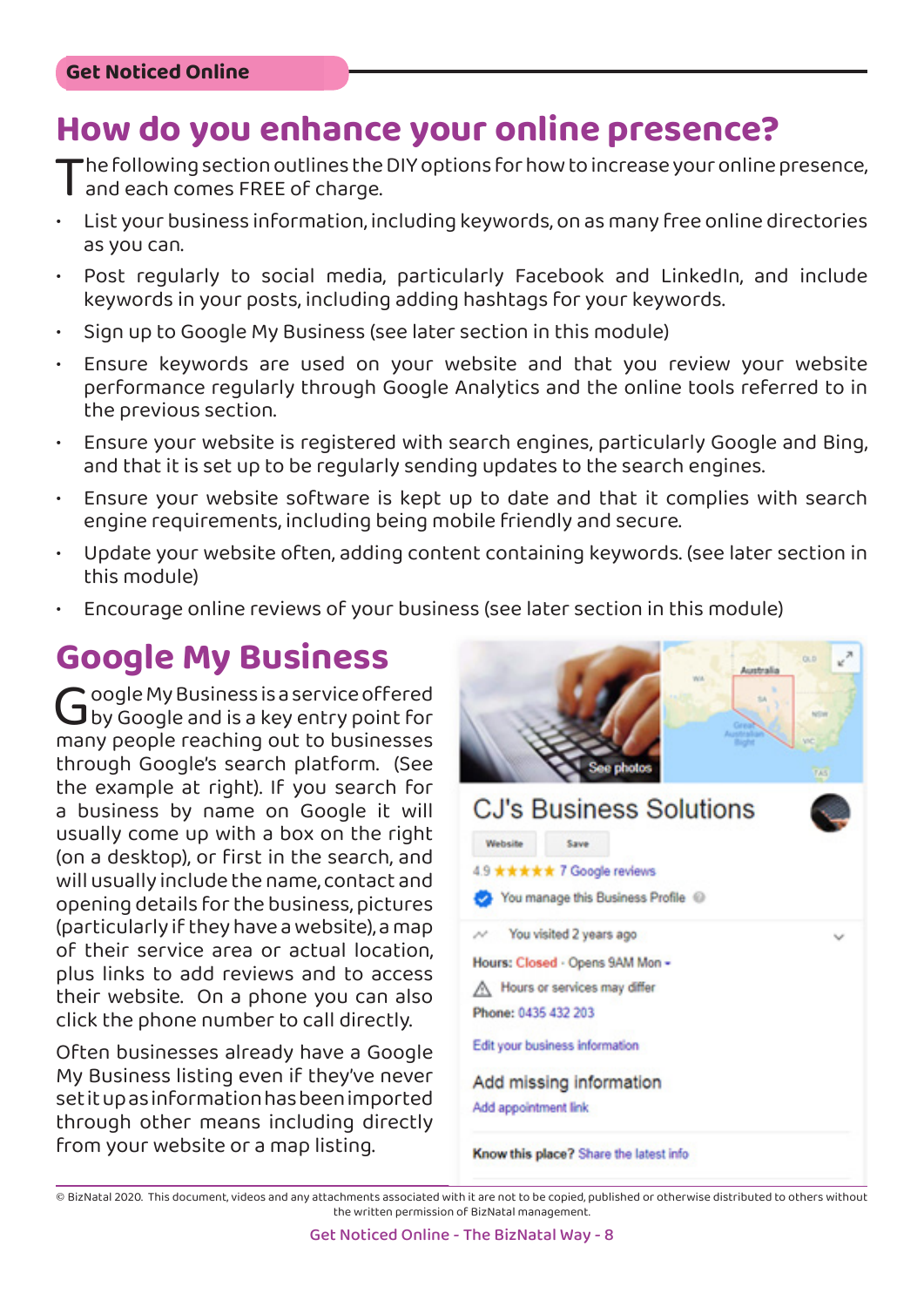### **How do you enhance your online presence?**

The following section outlines the DIY options for how to increase your online presence,<br>and each comes FREE of charge.<br>List your business information, including keywords, on as many free online directories and each comes FREE of charge.

- List your business information, including keywords, on as many free online directories as you can.
- Post regularly to social media, particularly Facebook and LinkedIn, and include keywords in your posts, including adding hashtags for your keywords.
- Sign up to Google My Business (see later section in this module)
- Ensure keywords are used on your website and that you review your website performance regularly through Google Analytics and the online tools referred to in the previous section.
- Ensure your website is registered with search engines, particularly Google and Bing, and that it is set up to be regularly sending updates to the search engines.
- Ensure your website software is kept up to date and that it complies with search engine requirements, including being mobile friendly and secure.
- Update your website often, adding content containing keywords. (see later section in this module)
- Encourage online reviews of your business (see later section in this module)

## **Google My Business**<br> **C**oogle My Business is a service offered

Google My Business is a service offered<br>G by Google and is a key entry point for<br>many people reaching out to businesses by Google and is a key entry point for many people reaching out to businesses through Google's search platform. (See the example at right). If you search for a business by name on Google it will usually come up with a box on the right (on a desktop), or first in the search, and will usually include the name, contact and opening details for the business, pictures (particularly if they have a website), a map of their service area or actual location, plus links to add reviews and to access their website. On a phone you can also click the phone number to call directly.

Often businesses already have a Google My Business listing even if they've never set it up as information has been imported through other means including directly from your website or a map listing.



Know this place? Share the latest info

<sup>©</sup> BizNatal 2020. This document, videos and any attachments associated with it are not to be copied, published or otherwise distributed to others without the written permission of BizNatal management.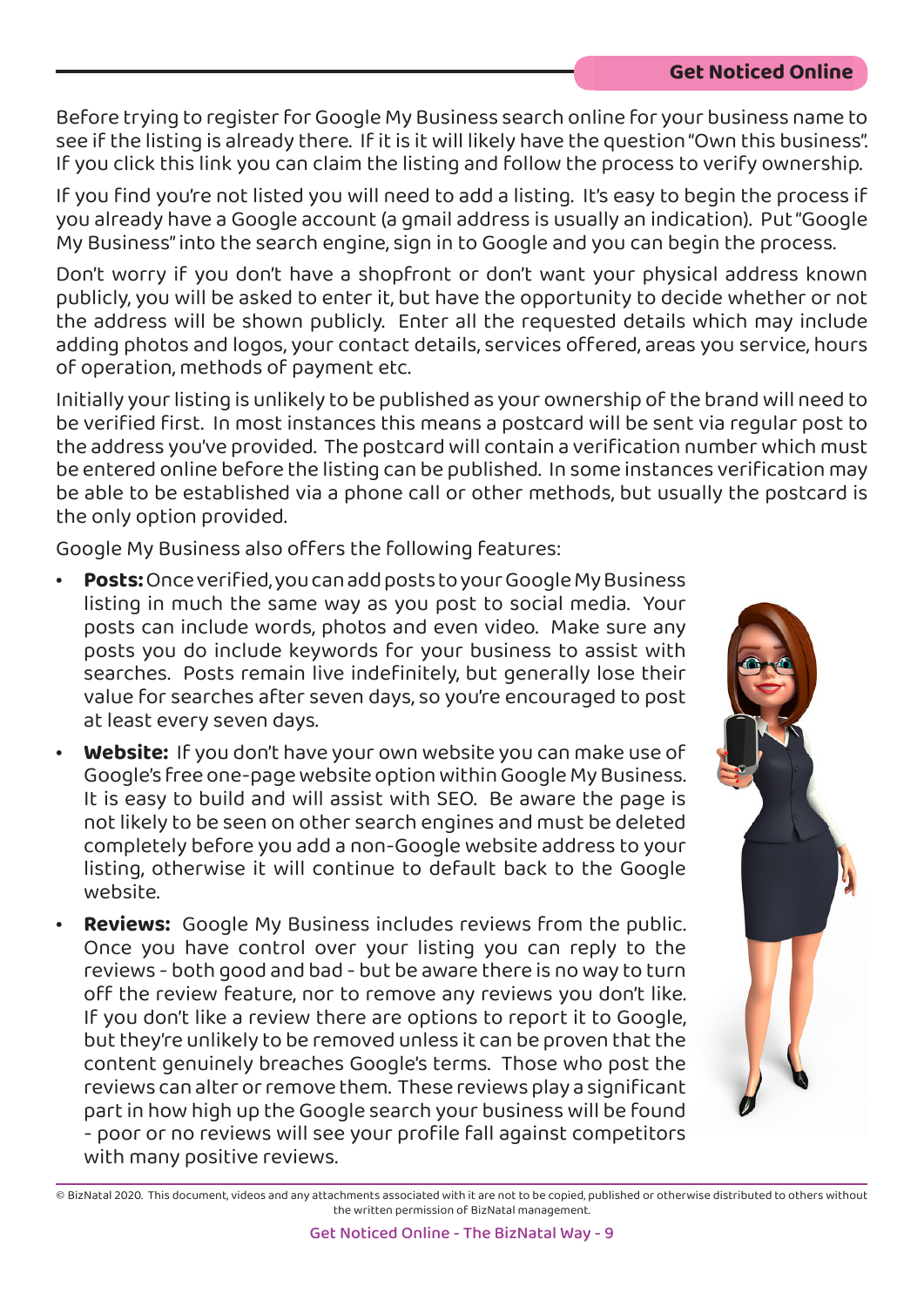Before trying to register for Google My Business search online for your business name to see if the listing is already there. If it is it will likely have the question "Own this business". If you click this link you can claim the listing and follow the process to verify ownership.

If you find you're not listed you will need to add a listing. It's easy to begin the process if you already have a Google account (a gmail address is usually an indication). Put "Google My Business" into the search engine, sign in to Google and you can begin the process.

Don't worry if you don't have a shopfront or don't want your physical address known publicly, you will be asked to enter it, but have the opportunity to decide whether or not the address will be shown publicly. Enter all the requested details which may include adding photos and logos, your contact details, services offered, areas you service, hours of operation, methods of payment etc.

Initially your listing is unlikely to be published as your ownership of the brand will need to be verified first. In most instances this means a postcard will be sent via regular post to the address you've provided. The postcard will contain a verification number which must be entered online before the listing can be published. In some instances verification may be able to be established via a phone call or other methods, but usually the postcard is the only option provided.

Google My Business also offers the following features:

- **• Posts:** Once verified, you can add posts to your Google My Business listing in much the same way as you post to social media. Your posts can include words, photos and even video. Make sure any posts you do include keywords for your business to assist with searches. Posts remain live indefinitely, but generally lose their value for searches after seven days, so you're encouraged to post at least every seven days.
- **• Website:** If you don't have your own website you can make use of Google's free one-page website option within Google My Business. It is easy to build and will assist with SEO. Be aware the page is not likely to be seen on other search engines and must be deleted completely before you add a non-Google website address to your listing, otherwise it will continue to default back to the Google website.
- **• Reviews:** Google My Business includes reviews from the public. Once you have control over your listing you can reply to the reviews - both good and bad - but be aware there is no way to turn off the review feature, nor to remove any reviews you don't like. If you don't like a review there are options to report it to Google, but they're unlikely to be removed unless it can be proven that the content genuinely breaches Google's terms. Those who post the reviews can alter or remove them. These reviews play a significant part in how high up the Google search your business will be found - poor or no reviews will see your profile fall against competitors with many positive reviews.

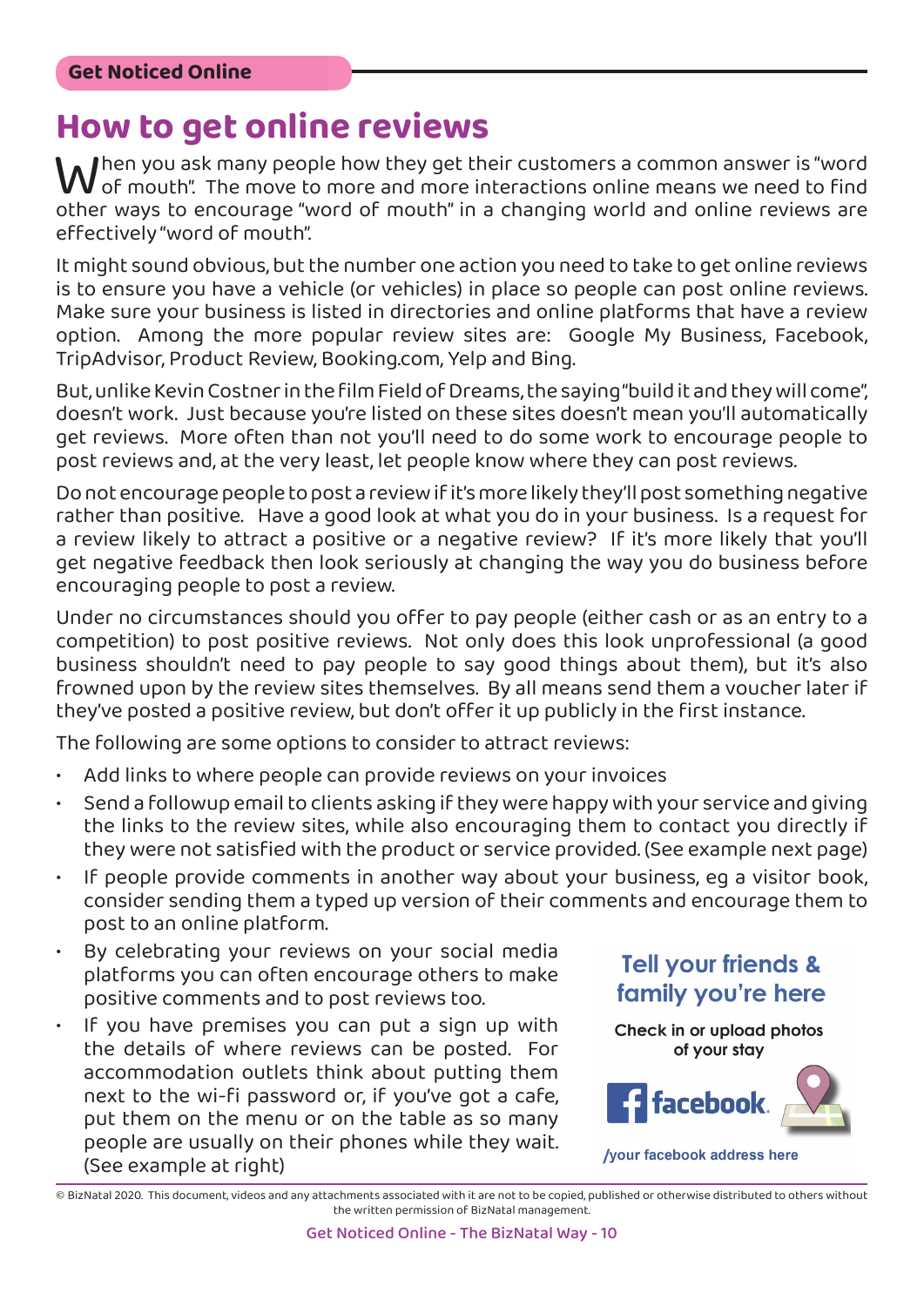**How to get online reviews**<br>*M I*hen you ask many people how they get their customers a common answer is "word  $\mathbf W$ hen you ask many people how they get their customers a common answer is "word<br>of mouth". The move to more and more interactions online means we need to find<br>other ways to encourage "word of mouth" in a changing worl of mouth". The move to more and more interactions online means we need to find other ways to encourage "word of mouth" in a changing world and online reviews are effectively "word of mouth".

It might sound obvious, but the number one action you need to take to get online reviews is to ensure you have a vehicle (or vehicles) in place so people can post online reviews. Make sure your business is listed in directories and online platforms that have a review option. Among the more popular review sites are: Google My Business, Facebook, TripAdvisor, Product Review, Booking.com, Yelp and Bing.

But, unlike Kevin Costner in the film Field of Dreams, the saying "build it and they will come", doesn't work. Just because you're listed on these sites doesn't mean you'll automatically get reviews. More often than not you'll need to do some work to encourage people to post reviews and, at the very least, let people know where they can post reviews.

Do not encourage people to post a review if it's more likely they'll post something negative rather than positive. Have a good look at what you do in your business. Is a request for a review likely to attract a positive or a negative review? If it's more likely that you'll get negative feedback then look seriously at changing the way you do business before encouraging people to post a review.

Under no circumstances should you offer to pay people (either cash or as an entry to a competition) to post positive reviews. Not only does this look unprofessional (a good business shouldn't need to pay people to say good things about them), but it's also frowned upon by the review sites themselves. By all means send them a voucher later if they've posted a positive review, but don't offer it up publicly in the first instance.

The following are some options to consider to attract reviews:

- Add links to where people can provide reviews on your invoices
- Send a followup email to clients asking if they were happy with your service and giving the links to the review sites, while also encouraging them to contact you directly if they were not satisfied with the product or service provided. (See example next page)
- If people provide comments in another way about your business, eq a visitor book, consider sending them a typed up version of their comments and encourage them to post to an online platform.
- By celebrating your reviews on your social media platforms you can often encourage others to make positive comments and to post reviews too.
- If you have premises you can put a sign up with the details of where reviews can be posted. For accommodation outlets think about putting them next to the wi-fi password or, if you've got a cafe, put them on the menu or on the table as so many people are usually on their phones while they wait. (See example at right)



<sup>©</sup> BizNatal 2020. This document, videos and any attachments associated with it are not to be copied, published or otherwise distributed to others without the written permission of BizNatal management.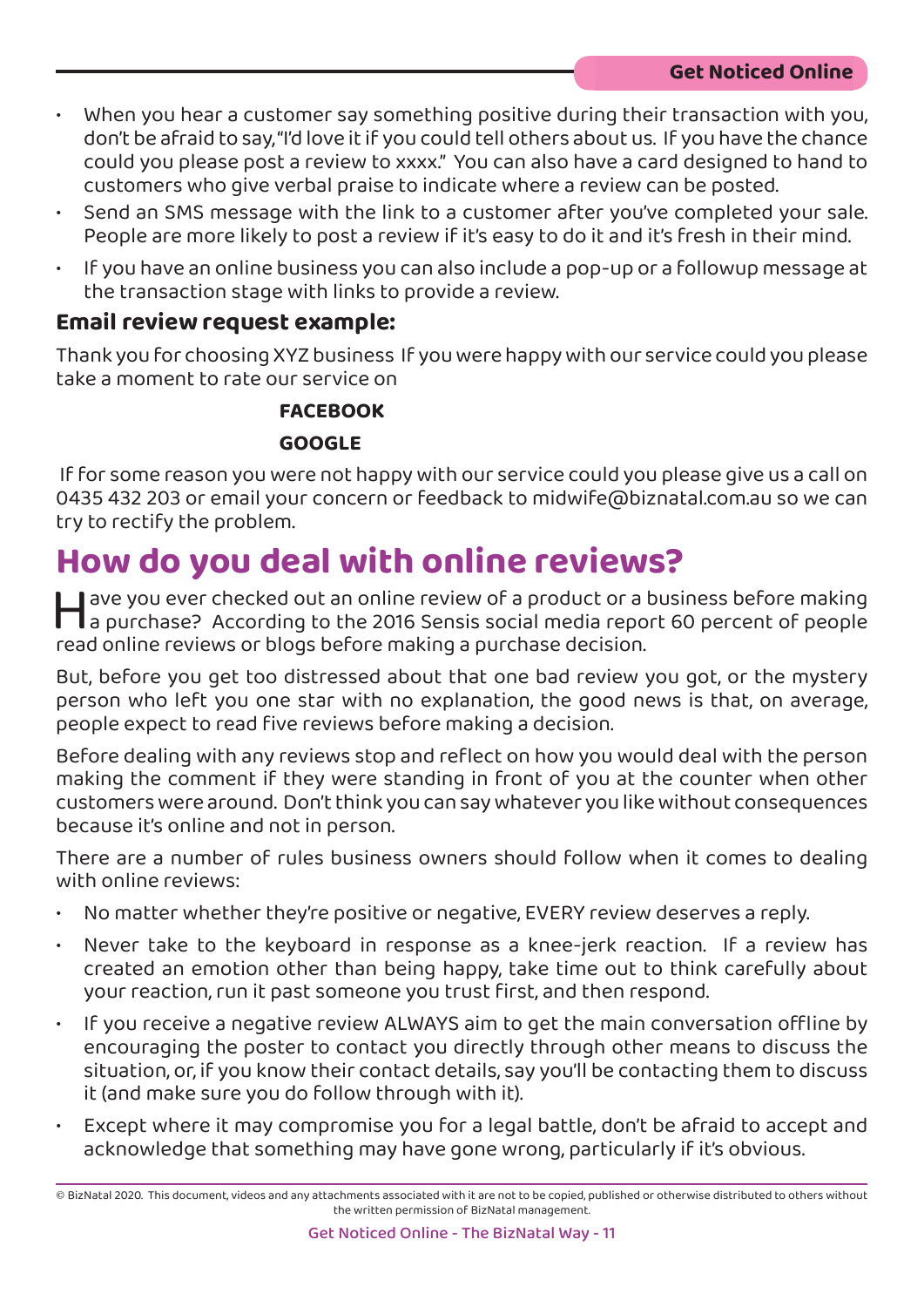- When you hear a customer say something positive during their transaction with you, don't be afraid to say, "I'd love it if you could tell others about us. If you have the chance could you please post a review to xxxx." You can also have a card designed to hand to customers who give verbal praise to indicate where a review can be posted.
- Send an SMS message with the link to a customer after you've completed your sale. People are more likely to post a review if it's easy to do it and it's fresh in their mind.
- If you have an online business you can also include a pop-up or a followup message at the transaction stage with links to provide a review.

#### **Email review request example:**

Thank you for choosing XYZ business If you were happy with our service could you please take a moment to rate our service on

#### **FACEBOOK [GOOGLE](https://www.facebook.com/BizNatal-Small-Business-Incubator-101358228297411)**

 If for some reason you were not happy with our service could you please give us a call on 0435 432 203 or email your concern or feedback to midwife@biznatal.com.au so we can try to rectify the problem.

### **How do you deal with online reviews?**

For a business before making<br>The purchase? According to the 2016 Sensis social media report 60 percent of people<br>The purchase? According to the 2016 Sensis social media report 60 percent of people<br>The people read online re a purchase? According to the 2016 Sensis social media report 60 percent of people read online reviews or blogs before making a purchase decision.

But, before you get too distressed about that one bad review you got, or the mystery person who left you one star with no explanation, the good news is that, on average, people expect to read five reviews before making a decision.

Before dealing with any reviews stop and reflect on how you would deal with the person making the comment if they were standing in front of you at the counter when other customers were around. Don't think you can say whatever you like without consequences because it's online and not in person.

There are a number of rules business owners should follow when it comes to dealing with online reviews:

- No matter whether they're positive or negative, EVERY review deserves a reply.
- Never take to the keyboard in response as a knee-jerk reaction. If a review has created an emotion other than being happy, take time out to think carefully about your reaction, run it past someone you trust first, and then respond.
- If you receive a negative review ALWAYS aim to get the main conversation offline by encouraging the poster to contact you directly through other means to discuss the situation, or, if you know their contact details, say you'll be contacting them to discuss it (and make sure you do follow through with it).
- Except where it may compromise you for a legal battle, don't be afraid to accept and acknowledge that something may have gone wrong, particularly if it's obvious.

<sup>©</sup> BizNatal 2020. This document, videos and any attachments associated with it are not to be copied, published or otherwise distributed to others without the written permission of BizNatal management.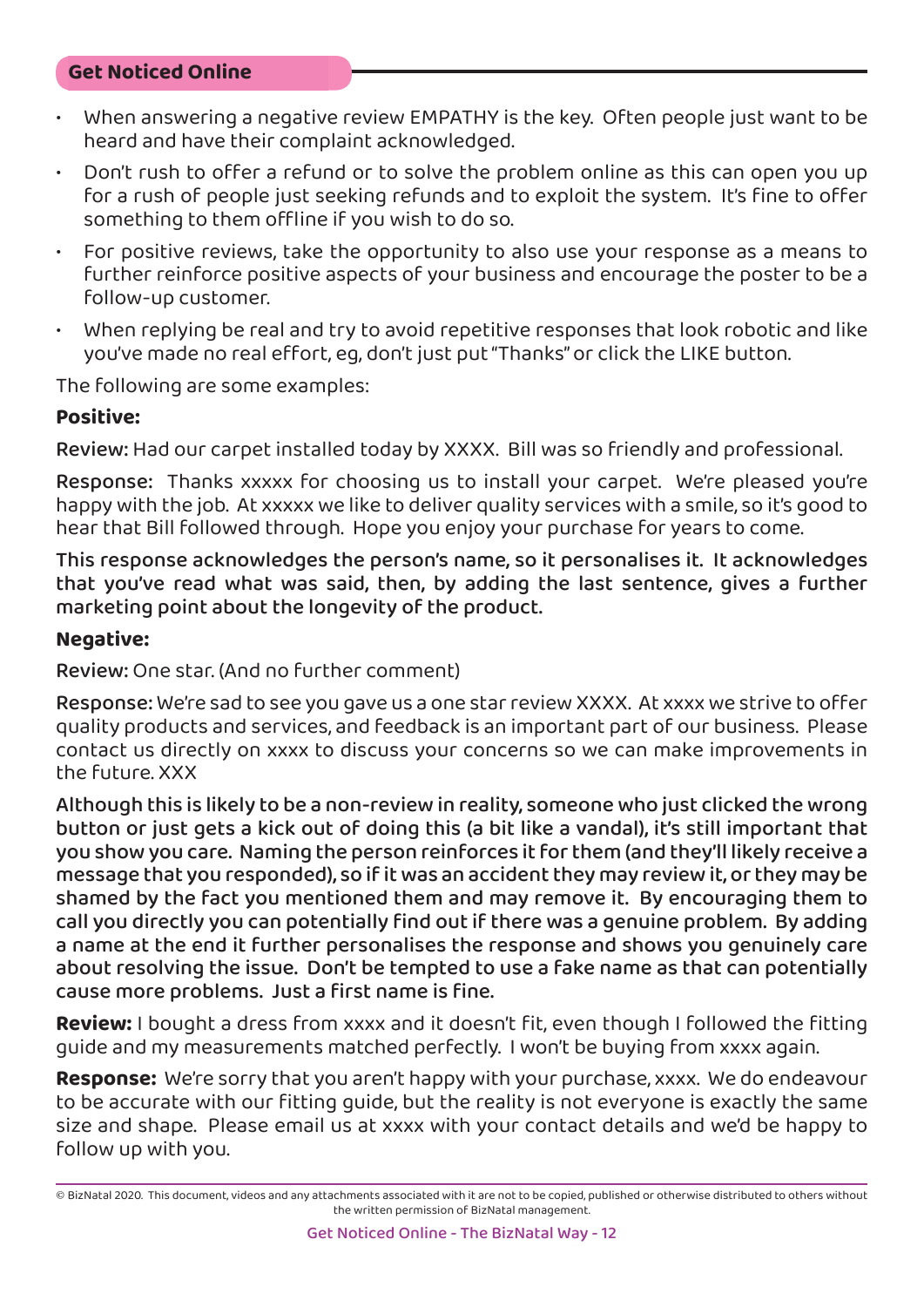- When answering a negative review EMPATHY is the key. Often people just want to be heard and have their complaint acknowledged.
- Don't rush to offer a refund or to solve the problem online as this can open you up for a rush of people just seeking refunds and to exploit the system. It's fine to offer something to them offline if you wish to do so.
- For positive reviews, take the opportunity to also use your response as a means to further reinforce positive aspects of your business and encourage the poster to be a follow-up customer.
- When replying be real and try to avoid repetitive responses that look robotic and like you've made no real effort, eg, don't just put "Thanks" or click the LIKE button.

The following are some examples:

#### **Positive:**

Review: Had our carpet installed today by XXXX. Bill was so friendly and professional.

Response: Thanks xxxxx for choosing us to install your carpet. We're pleased you're happy with the job. At xxxxx we like to deliver quality services with a smile, so it's good to hear that Bill followed through. Hope you enjoy your purchase for years to come.

This response acknowledges the person's name, so it personalises it. It acknowledges that you've read what was said, then, by adding the last sentence, gives a further marketing point about the longevity of the product.

#### **Negative:**

Review: One star. (And no further comment)

Response: We're sad to see you gave us a one star review XXXX. At xxxx we strive to offer quality products and services, and feedback is an important part of our business. Please contact us directly on xxxx to discuss your concerns so we can make improvements in the future. XXX

Although this is likely to be a non-review in reality, someone who just clicked the wrong button or just gets a kick out of doing this (a bit like a vandal), it's still important that you show you care. Naming the person reinforces it for them (and they'll likely receive a message that you responded), so if it was an accident they may review it, or they may be shamed by the fact you mentioned them and may remove it. By encouraging them to call you directly you can potentially find out if there was a genuine problem. By adding a name at the end it further personalises the response and shows you genuinely care about resolving the issue. Don't be tempted to use a fake name as that can potentially cause more problems. Just a first name is fine.

**Review:** I bought a dress from xxxx and it doesn't fit, even though I followed the fitting guide and my measurements matched perfectly. I won't be buying from xxxx again.

**Response:** We're sorry that you aren't happy with your purchase, xxxx. We do endeavour to be accurate with our fitting guide, but the reality is not everyone is exactly the same size and shape. Please email us at xxxx with your contact details and we'd be happy to follow up with you.

<sup>©</sup> BizNatal 2020. This document, videos and any attachments associated with it are not to be copied, published or otherwise distributed to others without the written permission of BizNatal management.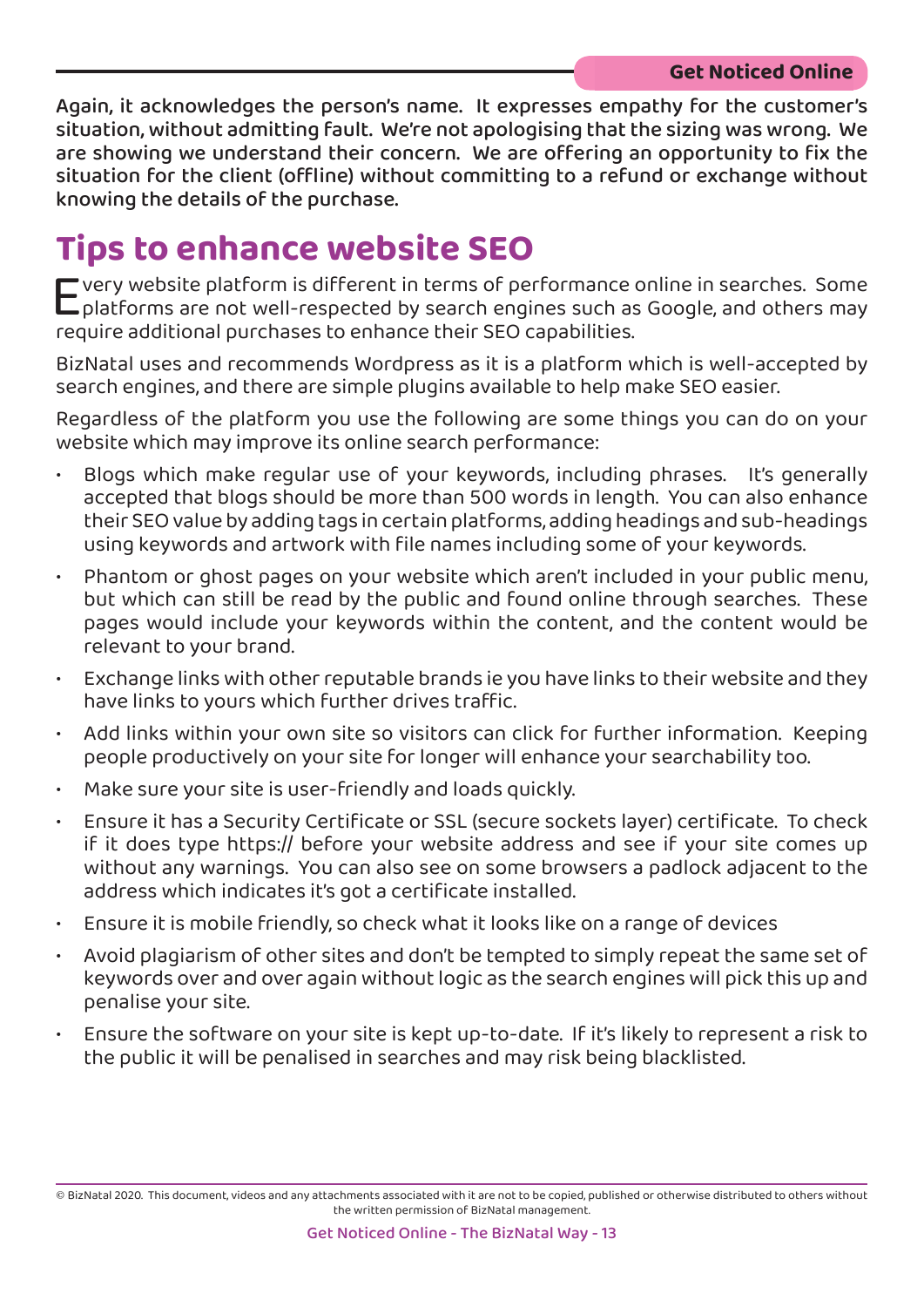Again, it acknowledges the person's name. It expresses empathy for the customer's situation, without admitting fault. We're not apologising that the sizing was wrong. We are showing we understand their concern. We are offering an opportunity to fix the situation for the client (offline) without committing to a refund or exchange without knowing the details of the purchase.

### **Tips to enhance website SEO**

Every website platform is different in terms of performance online in searches. Some<br>Let platforms are not well-respected by search engines such as Google, and others may<br>require additional purchases to enhance their SEO c platforms are not well-respected by search engines such as Google, and others may require additional purchases to enhance their SEO capabilities.

BizNatal uses and recommends Wordpress as it is a platform which is well-accepted by search engines, and there are simple plugins available to help make SEO easier.

Regardless of the platform you use the following are some things you can do on your website which may improve its online search performance:

- Blogs which make regular use of your keywords, including phrases. It's generally accepted that blogs should be more than 500 words in length. You can also enhance their SEO value by adding tags in certain platforms, adding headings and sub-headings using keywords and artwork with file names including some of your keywords.
- Phantom or ghost pages on your website which aren't included in your public menu, but which can still be read by the public and found online through searches. These pages would include your keywords within the content, and the content would be relevant to your brand.
- Exchange links with other reputable brands ie you have links to their website and they have links to yours which further drives traffic.
- Add links within your own site so visitors can click for further information. Keeping people productively on your site for longer will enhance your searchability too.
- Make sure your site is user-friendly and loads quickly.
- Ensure it has a Security Certificate or SSL (secure sockets layer) certificate. To check if it does type https:// before your website address and see if your site comes up without any warnings. You can also see on some browsers a padlock adjacent to the address which indicates it's got a certificate installed.
- Ensure it is mobile friendly, so check what it looks like on a range of devices
- Avoid plagiarism of other sites and don't be tempted to simply repeat the same set of keywords over and over again without logic as the search engines will pick this up and penalise your site.
- Ensure the software on your site is kept up-to-date. If it's likely to represent a risk to the public it will be penalised in searches and may risk being blacklisted.

<sup>©</sup> BizNatal 2020. This document, videos and any attachments associated with it are not to be copied, published or otherwise distributed to others without the written permission of BizNatal management.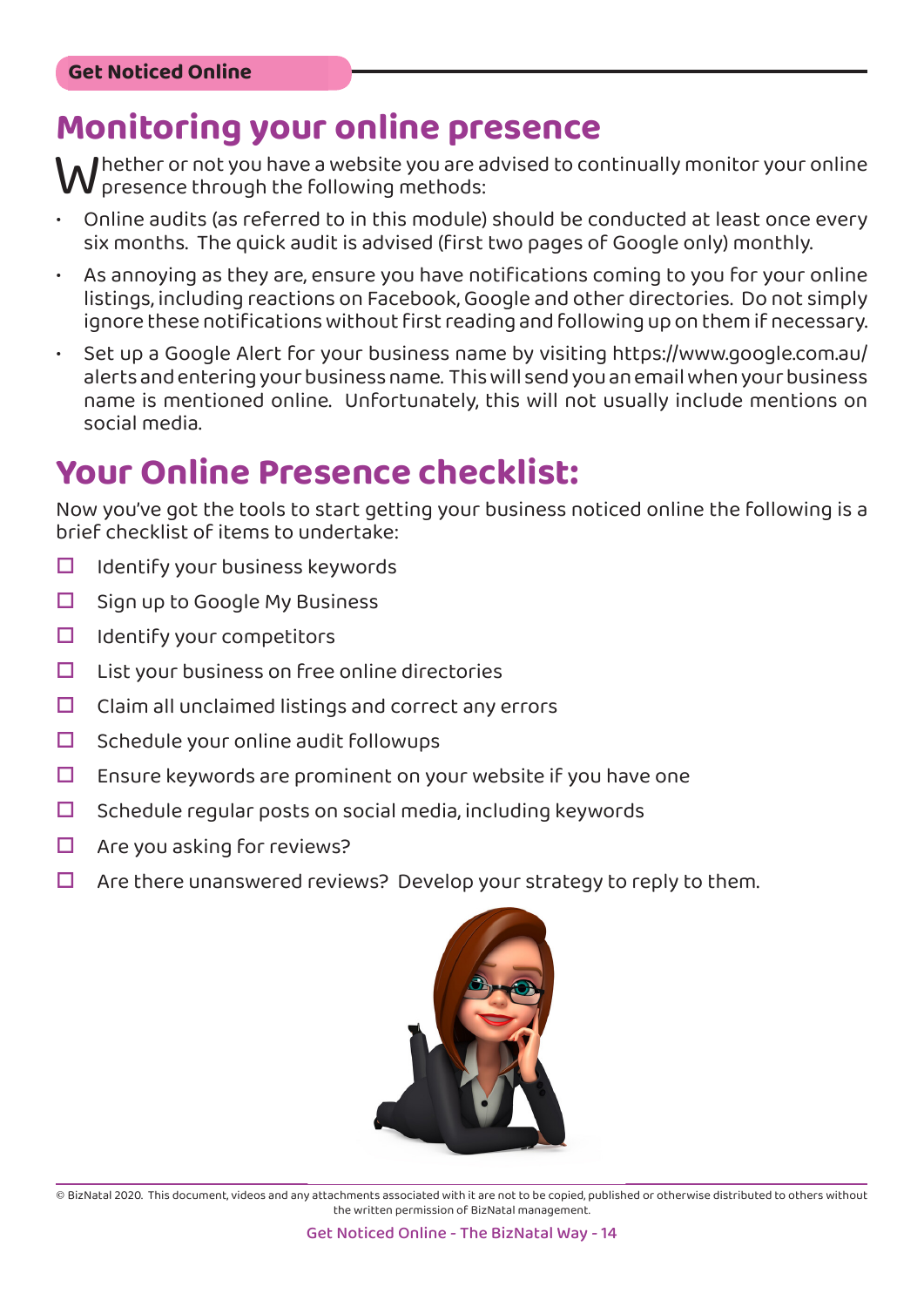### **Monitoring your online presence**

Whether or not you have a website you are advised to continually monitor your online<br>• Online audits (as referred to in this module) should be conducted at least once every  $^{\prime}$  presence through the following methods:

- Online audits (as referred to in this module) should be conducted at least once every six months. The quick audit is advised (first two pages of Google only) monthly.
- As annoying as they are, ensure you have notifications coming to you for your online listings, including reactions on Facebook, Google and other directories. Do not simply ignore these notifications without first reading and following up on them if necessary.
- Set up a [Google Alert](https://www.google.com.au/alerts) for your business name by visiting [https://www.google.com.au/](https://www.google.com.au/alerts) [alerts](https://www.google.com.au/alerts) and entering your business name. This will send you an email when your business name is mentioned online. Unfortunately, this will not usually include mentions on social media.

### **Your Online Presence checklist:**

Now you've got the tools to start getting your business noticed online the following is a brief checklist of items to undertake:

- $\Box$  Identify your business keywords
- $\Box$  Sign up to Google My Business
- $\Box$  Identify your competitors
- $\Box$  List your business on free online directories
- $\Box$  Claim all unclaimed listings and correct any errors
- $\Box$  Schedule your online audit followups
- $\Box$  Ensure keywords are prominent on your website if you have one
- $\Box$  Schedule regular posts on social media, including keywords
- $\Box$  Are you asking for reviews?
- $\Box$  Are there unanswered reviews? Develop your strategy to reply to them.

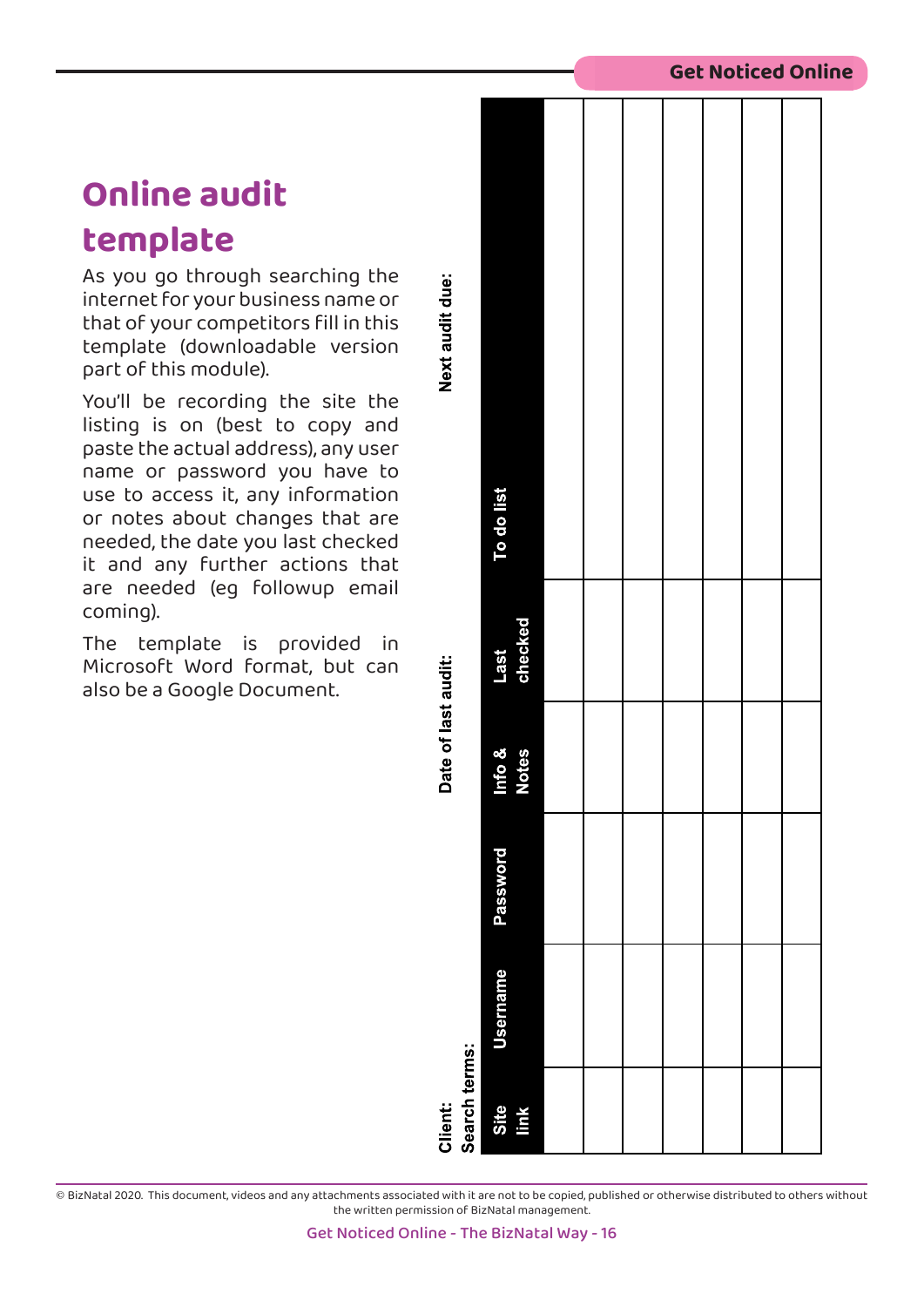### **Online audit**

### **template**

As you go through searching the internet for your business name or that of your competitors fill in this template (downloadable version part of this module).

You'll be recording the site the listing is on (best to copy and paste the actual address), any user name or password you have to use to access it, any information or notes about changes that are needed, the date you last checked it and any further actions that are needed (eg followup email coming).

The template is provided in Microsoft Word format, but can also be a Google Document.

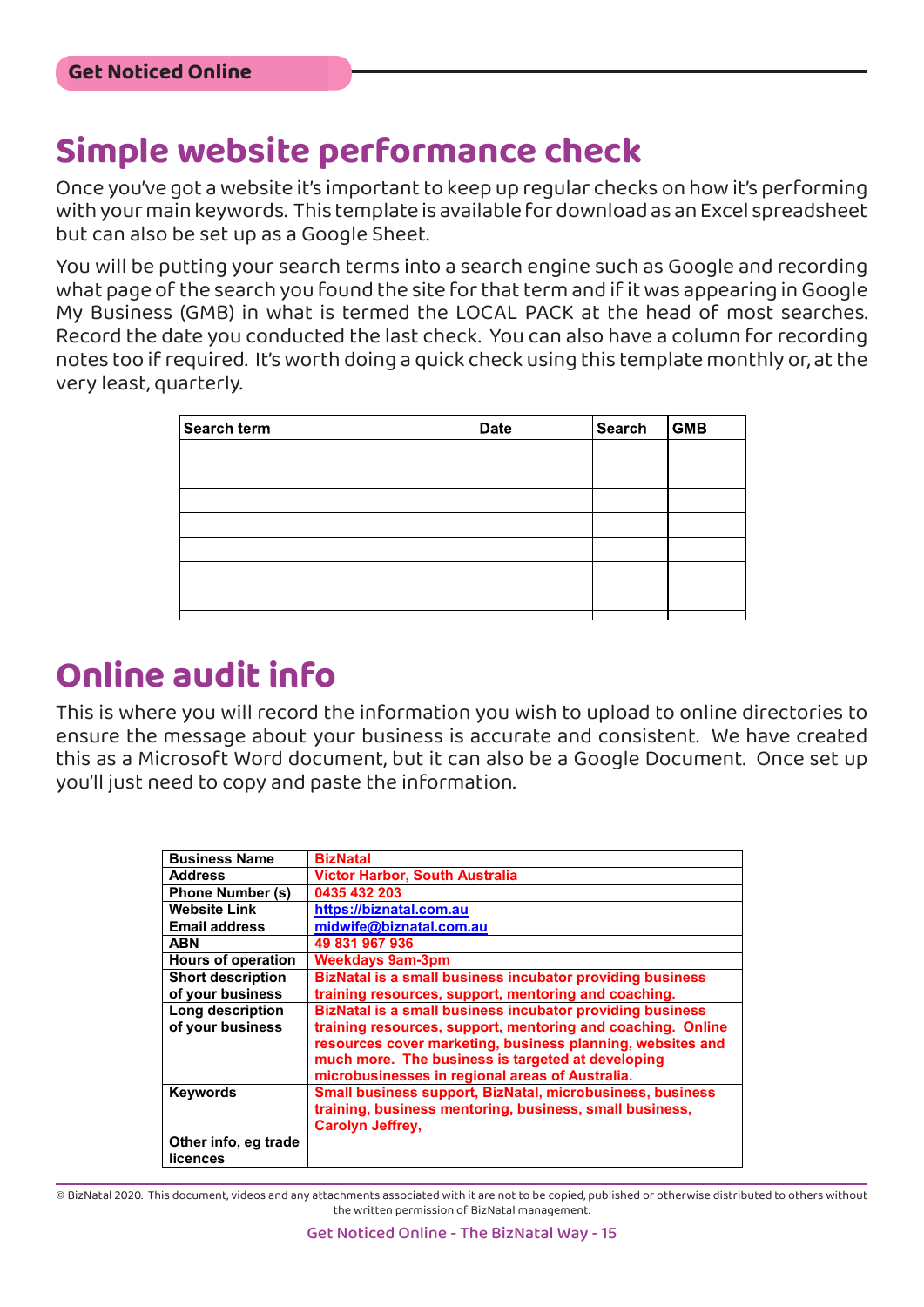### **Simple website performance check**

Once you've got a website it's important to keep up regular checks on how it's performing with your main keywords. This template is available for download as an Excel spreadsheet but can also be set up as a Google Sheet.

You will be putting your search terms into a search engine such as Google and recording what page of the search you found the site for that term and if it was appearing in Google My Business (GMB) in what is termed the LOCAL PACK at the head of most searches. Record the date you conducted the last check. You can also have a column for recording notes too if required. It's worth doing a quick check using this template monthly or, at the very least, quarterly.

| Search term | <b>Date</b> | Search | GMB |
|-------------|-------------|--------|-----|
|             |             |        |     |
|             |             |        |     |
|             |             |        |     |
|             |             |        |     |
|             |             |        |     |
|             |             |        |     |
|             |             |        |     |
|             |             |        |     |

### **Online audit info**

This is where you will record the information you wish to upload to online directories to ensure the message about your business is accurate and consistent. We have created this as a Microsoft Word document, but it can also be a Google Document. Once set up you'll just need to copy and paste the information. **Online Info**

| <b>Business Name</b>      | <b>BizNatal</b>                                                  |
|---------------------------|------------------------------------------------------------------|
| <b>Address</b>            | <b>Victor Harbor, South Australia</b>                            |
| <b>Phone Number (s)</b>   | 0435 432 203                                                     |
| <b>Website Link</b>       | https://biznatal.com.au                                          |
| <b>Email address</b>      | midwife@biznatal.com.au                                          |
| <b>ABN</b>                | 49 831 967 936                                                   |
| <b>Hours of operation</b> | <b>Weekdays 9am-3pm</b>                                          |
| <b>Short description</b>  | <b>BizNatal is a small business incubator providing business</b> |
| of your business          | training resources, support, mentoring and coaching.             |
| Long description          | BizNatal is a small business incubator providing business        |
| of your business          | training resources, support, mentoring and coaching. Online      |
|                           | resources cover marketing, business planning, websites and       |
|                           | much more. The business is targeted at developing                |
|                           | microbusinesses in regional areas of Australia.                  |
| <b>Keywords</b>           | Small business support, BizNatal, microbusiness, business        |
|                           | training, business mentoring, business, small business,          |
|                           | <b>Carolyn Jeffrey,</b>                                          |
| Other info, eg trade      |                                                                  |
| licences                  |                                                                  |